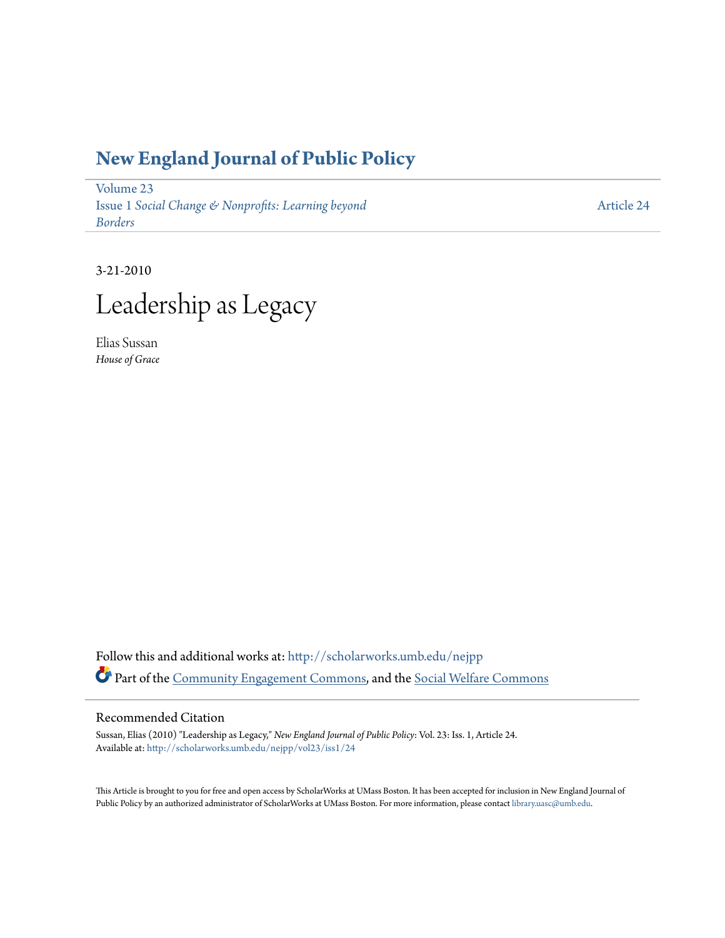## **[New England Journal of Public Policy](http://scholarworks.umb.edu/nejpp?utm_source=scholarworks.umb.edu%2Fnejpp%2Fvol23%2Fiss1%2F24&utm_medium=PDF&utm_campaign=PDFCoverPages)**

[Volume 23](http://scholarworks.umb.edu/nejpp/vol23?utm_source=scholarworks.umb.edu%2Fnejpp%2Fvol23%2Fiss1%2F24&utm_medium=PDF&utm_campaign=PDFCoverPages) Issue 1 *[Social Change & Nonprofits: Learning beyond](http://scholarworks.umb.edu/nejpp/vol23/iss1?utm_source=scholarworks.umb.edu%2Fnejpp%2Fvol23%2Fiss1%2F24&utm_medium=PDF&utm_campaign=PDFCoverPages) [Borders](http://scholarworks.umb.edu/nejpp/vol23/iss1?utm_source=scholarworks.umb.edu%2Fnejpp%2Fvol23%2Fiss1%2F24&utm_medium=PDF&utm_campaign=PDFCoverPages)*

[Article 24](http://scholarworks.umb.edu/nejpp/vol23/iss1/24?utm_source=scholarworks.umb.edu%2Fnejpp%2Fvol23%2Fiss1%2F24&utm_medium=PDF&utm_campaign=PDFCoverPages)

3-21-2010 Leadership as Legacy

Elias Sussan *House of Grace*

Follow this and additional works at: [http://scholarworks.umb.edu/nejpp](http://scholarworks.umb.edu/nejpp?utm_source=scholarworks.umb.edu%2Fnejpp%2Fvol23%2Fiss1%2F24&utm_medium=PDF&utm_campaign=PDFCoverPages) Part of the [Community Engagement Commons](http://network.bepress.com/hgg/discipline/1028?utm_source=scholarworks.umb.edu%2Fnejpp%2Fvol23%2Fiss1%2F24&utm_medium=PDF&utm_campaign=PDFCoverPages), and the [Social Welfare Commons](http://network.bepress.com/hgg/discipline/401?utm_source=scholarworks.umb.edu%2Fnejpp%2Fvol23%2Fiss1%2F24&utm_medium=PDF&utm_campaign=PDFCoverPages)

## Recommended Citation

Sussan, Elias (2010) "Leadership as Legacy," *New England Journal of Public Policy*: Vol. 23: Iss. 1, Article 24. Available at: [http://scholarworks.umb.edu/nejpp/vol23/iss1/24](http://scholarworks.umb.edu/nejpp/vol23/iss1/24?utm_source=scholarworks.umb.edu%2Fnejpp%2Fvol23%2Fiss1%2F24&utm_medium=PDF&utm_campaign=PDFCoverPages)

This Article is brought to you for free and open access by ScholarWorks at UMass Boston. It has been accepted for inclusion in New England Journal of Public Policy by an authorized administrator of ScholarWorks at UMass Boston. For more information, please contact [library.uasc@umb.edu](mailto:library.uasc@umb.edu).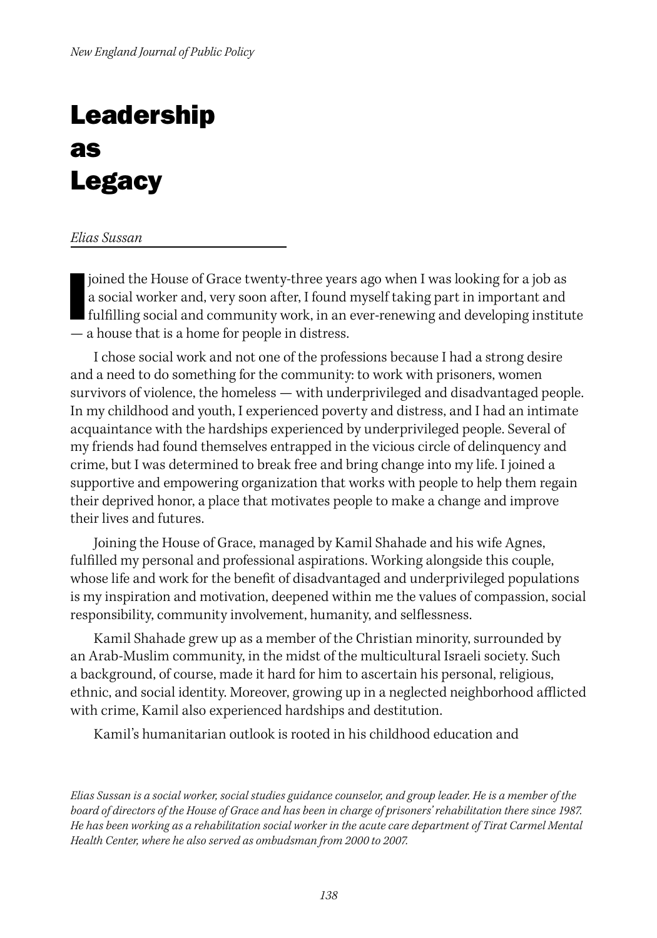## Leadership as **Legacy**

## *Elias Sussan*

joined the House of Grace twenty-three years ago when I was looking for a job as a social worker and, very soon after, I found myself taking part in important and fulfilling social and community work, in an ever-renewing a a social worker and, very soon after, I found myself taking part in important and — a house that is a home for people in distress.

I chose social work and not one of the professions because I had a strong desire and a need to do something for the community: to work with prisoners, women survivors of violence, the homeless — with underprivileged and disadvantaged people. In my childhood and youth, I experienced poverty and distress, and I had an intimate acquaintance with the hardships experienced by underprivileged people. Several of my friends had found themselves entrapped in the vicious circle of delinquency and crime, but I was determined to break free and bring change into my life. I joined a supportive and empowering organization that works with people to help them regain their deprived honor, a place that motivates people to make a change and improve their lives and futures.

Joining the House of Grace, managed by Kamil Shahade and his wife Agnes, fulfilled my personal and professional aspirations. Working alongside this couple, whose life and work for the benefit of disadvantaged and underprivileged populations is my inspiration and motivation, deepened within me the values of compassion, social responsibility, community involvement, humanity, and selflessness.

Kamil Shahade grew up as a member of the Christian minority, surrounded by an Arab-Muslim community, in the midst of the multicultural Israeli society. Such a background, of course, made it hard for him to ascertain his personal, religious, ethnic, and social identity. Moreover, growing up in a neglected neighborhood afflicted with crime, Kamil also experienced hardships and destitution.

Kamil's humanitarian outlook is rooted in his childhood education and

*Elias Sussan is a social worker, social studies guidance counselor, and group leader. He is a member of the board of directors of the House of Grace and has been in charge of prisoners' rehabilitation there since 1987. He has been working as a rehabilitation social worker in the acute care department of Tirat Carmel Mental Health Center, where he also served as ombudsman from 2000 to 2007.*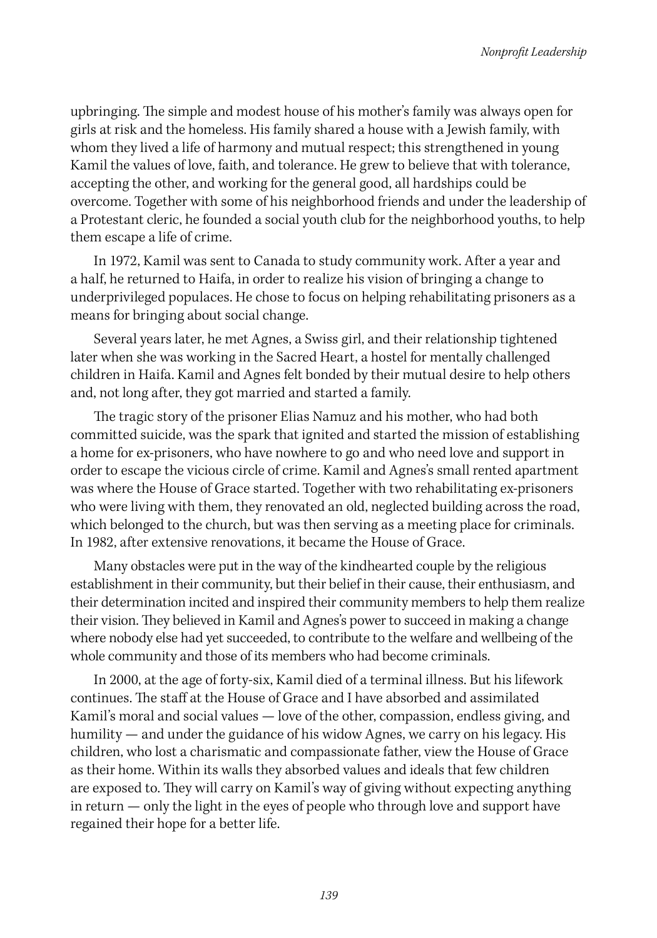upbringing. The simple and modest house of his mother's family was always open for girls at risk and the homeless. His family shared a house with a Jewish family, with whom they lived a life of harmony and mutual respect; this strengthened in young Kamil the values of love, faith, and tolerance. He grew to believe that with tolerance, accepting the other, and working for the general good, all hardships could be overcome. Together with some of his neighborhood friends and under the leadership of a Protestant cleric, he founded a social youth club for the neighborhood youths, to help them escape a life of crime.

In 1972, Kamil was sent to Canada to study community work. After a year and a half, he returned to Haifa, in order to realize his vision of bringing a change to underprivileged populaces. He chose to focus on helping rehabilitating prisoners as a means for bringing about social change.

Several years later, he met Agnes, a Swiss girl, and their relationship tightened later when she was working in the Sacred Heart, a hostel for mentally challenged children in Haifa. Kamil and Agnes felt bonded by their mutual desire to help others and, not long after, they got married and started a family.

The tragic story of the prisoner Elias Namuz and his mother, who had both committed suicide, was the spark that ignited and started the mission of establishing a home for ex-prisoners, who have nowhere to go and who need love and support in order to escape the vicious circle of crime. Kamil and Agnes's small rented apartment was where the House of Grace started. Together with two rehabilitating ex-prisoners who were living with them, they renovated an old, neglected building across the road, which belonged to the church, but was then serving as a meeting place for criminals. In 1982, after extensive renovations, it became the House of Grace.

Many obstacles were put in the way of the kindhearted couple by the religious establishment in their community, but their belief in their cause, their enthusiasm, and their determination incited and inspired their community members to help them realize their vision. They believed in Kamil and Agnes's power to succeed in making a change where nobody else had yet succeeded, to contribute to the welfare and wellbeing of the whole community and those of its members who had become criminals.

In 2000, at the age of forty-six, Kamil died of a terminal illness. But his lifework continues. The staff at the House of Grace and I have absorbed and assimilated Kamil's moral and social values — love of the other, compassion, endless giving, and humility — and under the guidance of his widow Agnes, we carry on his legacy. His children, who lost a charismatic and compassionate father, view the House of Grace as their home. Within its walls they absorbed values and ideals that few children are exposed to. They will carry on Kamil's way of giving without expecting anything in return — only the light in the eyes of people who through love and support have regained their hope for a better life.